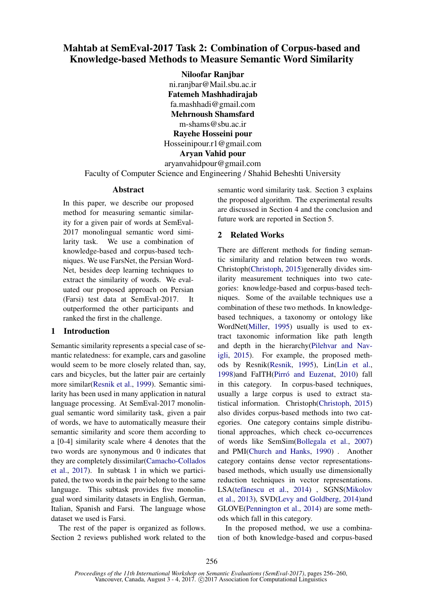# Mahtab at SemEval-2017 Task 2: Combination of Corpus-based and Knowledge-based Methods to Measure Semantic Word Similarity

Niloofar Ranjbar ni.ranjbar@Mail.sbu.ac.ir Fatemeh Mashhadirajab fa.mashhadi@gmail.com Mehrnoush Shamsfard m-shams@sbu.ac.ir Rayehe Hosseini pour Hosseinipour.r1@gmail.com Aryan Vahid pour aryanvahidpour@gmail.com

Faculty of Computer Science and Engineering / Shahid Beheshti University

## Abstract

In this paper, we describe our proposed method for measuring semantic similarity for a given pair of words at SemEval-2017 monolingual semantic word similarity task. We use a combination of knowledge-based and corpus-based techniques. We use FarsNet, the Persian Word-Net, besides deep learning techniques to extract the similarity of words. We evaluated our proposed approach on Persian (Farsi) test data at SemEval-2017. It outperformed the other participants and ranked the first in the challenge.

# 1 Introduction

Semantic similarity represents a special case of semantic relatedness: for example, cars and gasoline would seem to be more closely related than, say, cars and bicycles, but the latter pair are certainly more similar(Resnik et al., 1999). Semantic similarity has been used in many application in natural language processing. At SemEval-2017 monolingual semantic word similarity task, given a pair of words, we have to automatically measure their semantic similarity and score them according to a [0-4] similarity scale where 4 denotes that the two words are synonymous and 0 indicates that they are completely dissimilar(Camacho-Collados et al., 2017). In subtask 1 in which we participated, the two words in the pair belong to the same language. This subtask provides five monolingual word similarity datasets in English, German, Italian, Spanish and Farsi. The language whose dataset we used is Farsi.

The rest of the paper is organized as follows. Section 2 reviews published work related to the semantic word similarity task. Section 3 explains the proposed algorithm. The experimental results are discussed in Section 4 and the conclusion and future work are reported in Section 5.

# 2 Related Works

There are different methods for finding semantic similarity and relation between two words. Christoph(Christoph, 2015)generally divides similarity measurement techniques into two categories: knowledge-based and corpus-based techniques. Some of the available techniques use a combination of these two methods. In knowledgebased techniques, a taxonomy or ontology like WordNet(Miller, 1995) usually is used to extract taxonomic information like path length and depth in the hierarchy(Pilehvar and Navigli, 2015). For example, the proposed methods by Resnik(Resnik, 1995), Lin(Lin et al., 1998)and FaITH(Pirró and Euzenat, 2010) fall in this category. In corpus-based techniques, usually a large corpus is used to extract statistical information. Christoph(Christoph, 2015) also divides corpus-based methods into two categories. One category contains simple distributional approaches, which check co-occurrences of words like SemSim(Bollegala et al., 2007) and PMI(Church and Hanks, 1990) . Another category contains dense vector representationsbased methods, which usually use dimensionally reduction techniques in vector representations. LSA(tefănescu et al., 2014), SGNS(Mikolov et al., 2013), SVD(Levy and Goldberg, 2014)and GLOVE(Pennington et al., 2014) are some methods which fall in this category.

In the proposed method, we use a combination of both knowledge-based and corpus-based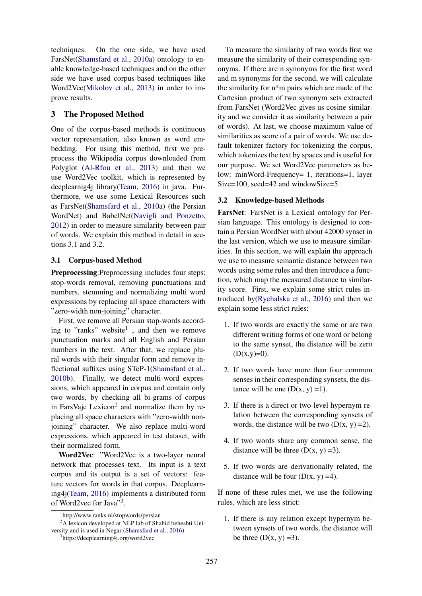techniques. On the one side, we have used FarsNet(Shamsfard et al., 2010a) ontology to enable knowledge-based techniques and on the other side we have used corpus-based techniques like Word2Vec(Mikolov et al., 2013) in order to improve results.

## 3 The Proposed Method

One of the corpus-based methods is continuous vector representation, also known as word embedding. For using this method, first we preprocess the Wikipedia corpus downloaded from Polyglot (Al-Rfou et al., 2013) and then we use Word2Vec toolkit, which is represented by deeplearnig4j library(Team, 2016) in java. Furthermore, we use some Lexical Resources such as FarsNet(Shamsfard et al., 2010a) (the Persian WordNet) and BabelNet(Navigli and Ponzetto, 2012) in order to measure similarity between pair of words. We explain this method in detail in sections 3.1 and 3.2.

## 3.1 Corpus-based Method

Preprocessing:Preprocessing includes four steps: stop-words removal, removing punctuations and numbers, stemming and normalizing multi word expressions by replacing all space characters with "zero-width non-joining" character.

First, we remove all Persian stop-words according to "ranks" website<sup>1</sup>, and then we remove punctuation marks and all English and Persian numbers in the text. After that, we replace plural words with their singular form and remove inflectional suffixes using STeP-1(Shamsfard et al., 2010b). Finally, we detect multi-word expressions, which appeared in corpus and contain only two words, by checking all bi-grams of corpus in FarsVaje Lexicon $2$  and normalize them by replacing all space characters with "zero-width nonjoining" character. We also replace multi-word expressions, which appeared in test dataset, with their normalized form.

Word2Vec: "Word2Vec is a two-layer neural network that processes text. Its input is a text corpus and its output is a set of vectors: feature vectors for words in that corpus. Deeplearning4j(Team, 2016) implements a distributed form of Word2vec for Java"<sup>3</sup>.

To measure the similarity of two words first we measure the similarity of their corresponding synonyms. If there are n synonyms for the first word and m synonyms for the second, we will calculate the similarity for n\*m pairs which are made of the Cartesian product of two synonym sets extracted from FarsNet (Word2Vec gives us cosine similarity and we consider it as similarity between a pair of words). At last, we choose maximum value of similarities as score of a pair of words. We use default tokenizer factory for tokenizing the corpus, which tokenizes the text by spaces and is useful for our purpose. We set Word2Vec parameters as below: minWord-Frequency= 1, iterations=1, layer Size=100, seed=42 and windowSize=5.

#### 3.2 Knowledge-based Methods

FarsNet: FarsNet is a Lexical ontology for Persian language. This ontology is designed to contain a Persian WordNet with about 42000 synset in the last version, which we use to measure similarities. In this section, we will explain the approach we use to measure semantic distance between two words using some rules and then introduce a function, which map the measured distance to similarity score. First, we explain some strict rules introduced by(Rychalska et al., 2016) and then we explain some less strict rules:

- 1. If two words are exactly the same or are two different writing forms of one word or belong to the same synset, the distance will be zero  $(D(x,y)=0)$ .
- 2. If two words have more than four common senses in their corresponding synsets, the distance will be one  $(D(x, y) = 1)$ .
- 3. If there is a direct or two-level hypernym relation between the corresponding synsets of words, the distance will be two  $(D(x, y) = 2)$ .
- 4. If two words share any common sense, the distance will be three  $(D(x, y) = 3)$ .
- 5. If two words are derivationally related, the distance will be four  $(D(x, y) = 4)$ .

If none of these rules met, we use the following rules, which are less strict:

1. If there is any relation except hypernym between synsets of two words, the distance will be three  $(D(x, y) = 3)$ .

<sup>1</sup> http://www.ranks.nl/stopwords/persian

<sup>&</sup>lt;sup>2</sup>A lexicon developed at NLP lab of Shahid beheshti University and is used in Negar (Shamsfard et al., 2016)

<sup>3</sup> https://deeplearning4j.org/word2vec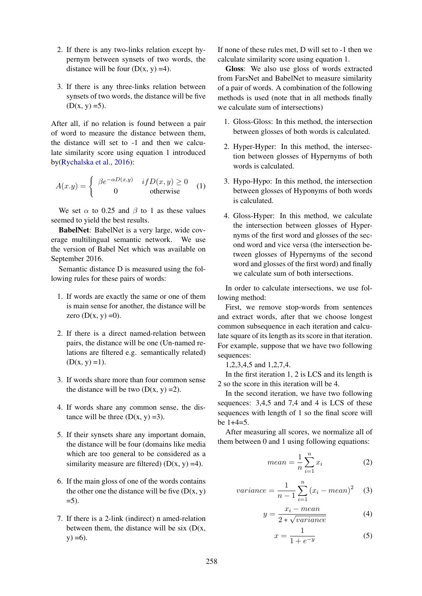- 2. If there is any two-links relation except hypernym between synsets of two words, the distance will be four  $(D(x, y) = 4)$ .
- 3. If there is any three-links relation between synsets of two words, the distance will be five  $(D(x, y) = 5)$ .

After all, if no relation is found between a pair of word to measure the distance between them, the distance will set to -1 and then we calculate similarity score using equation 1 introduced by(Rychalska et al., 2016):

$$
A(x.y) = \begin{cases} \beta e^{-\alpha D(x,y)} & if D(x,y) \ge 0 \\ 0 & otherwise \end{cases}
$$
 (1)

We set  $\alpha$  to 0.25 and  $\beta$  to 1 as these values seemed to yield the best results.

BabelNet: BabelNet is a very large, wide coverage multilingual semantic network. We use the version of Babel Net which was available on September 2016.

Semantic distance D is measured using the following rules for these pairs of words:

- 1. If words are exactly the same or one of them is main sense for another, the distance will be zero  $(D(x, y) = 0)$ .
- 2. If there is a direct named-relation between pairs, the distance will be one (Un-named relations are filtered e.g. semantically related)  $(D(x, y) = 1).$
- 3. If words share more than four common sense the distance will be two  $(D(x, y) = 2)$ .
- 4. If words share any common sense, the distance will be three  $(D(x, y) = 3)$ .
- 5. If their synsets share any important domain, the distance will be four (domains like media which are too general to be considered as a similarity measure are filtered)  $(D(x, y) = 4)$ .
- 6. If the main gloss of one of the words contains the other one the distance will be five  $(D(x, y))$  $= 5$ ).
- 7. If there is a 2-link (indirect) n amed-relation between them, the distance will be six  $(D(x,$  $y) = 6$ .

If none of these rules met, D will set to -1 then we calculate similarity score using equation 1.

Gloss: We also use gloss of words extracted from FarsNet and BabelNet to measure similarity of a pair of words. A combination of the following methods is used (note that in all methods finally we calculate sum of intersections)

- 1. Gloss-Gloss: In this method, the intersection between glosses of both words is calculated.
- 2. Hyper-Hyper: In this method, the intersection between glosses of Hypernyms of both words is calculated.
- 3. Hypo-Hypo: In this method, the intersection between glosses of Hyponyms of both words is calculated.
- 4. Gloss-Hyper: In this method, we calculate the intersection between glosses of Hypernyms of the first word and glosses of the second word and vice versa (the intersection between glosses of Hypernyms of the second word and glosses of the first word) and finally we calculate sum of both intersections.

In order to calculate intersections, we use following method:

First, we remove stop-words from sentences and extract words, after that we choose longest common subsequence in each iteration and calculate square of its length as its score in that iteration. For example, suppose that we have two following sequences:

1,2,3,4,5 and 1,2,7,4.

In the first iteration 1, 2 is LCS and its length is 2 so the score in this iteration will be 4.

In the second iteration, we have two following sequences: 3,4,5 and 7,4 and 4 is LCS of these sequences with length of 1 so the final score will be 1+4=5.

After measuring all scores, we normalize all of them between 0 and 1 using following equations:

$$
mean = \frac{1}{n} \sum_{i=1}^{n} x_i
$$
 (2)

*variance* = 
$$
\frac{1}{n-1} \sum_{i=1}^{n} (x_i - mean)^2
$$
 (3)

$$
y = \frac{x_i - mean}{2 * \sqrt{variance}}
$$
 (4)

$$
x = \frac{1}{1 + e^{-y}}\tag{5}
$$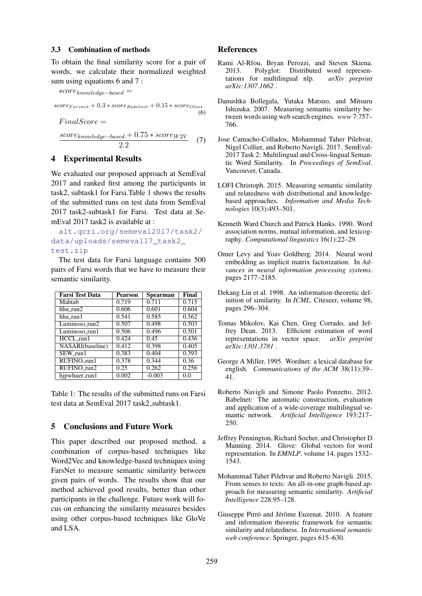#### 3.3 Combination of methods

To obtain the final similarity score for a pair of words, we calculate their normalized weighted sum using equations 6 and 7 :

 $score_{knowledge-based} =$  $score_{Farsnet} + 0.3 * score_{Babelnet} + 0.15 * score_{Gloss}$ (6)

 $score_{knowledge-based} + 0.75 * score_{W2V}$ 2.2 (7)

## 4 Experimental Results

 $FinalScore =$ 

We evaluated our proposed approach at SemEval 2017 and ranked first among the participants in task2, subtask1 for Farsi.Table 1 shows the results of the submitted runs on test data from SemEval 2017 task2-subtask1 for Farsi. Test data at SemEval 2017 task2 is available at :

alt.qcri.org/semeval2017/task2/ data/uploads/semeval17\_task2\_ test.zip

The test data for Farsi language contains 500 pairs of Farsi words that we have to measure their semantic similarity.

| Farsi Test Data          | <b>Pearson</b> | <b>Spearman</b> | Final              |
|--------------------------|----------------|-----------------|--------------------|
| Mahtab                   | 0.719          | 0.711           | $\overline{0.7}15$ |
| hhu_run2                 | 0.606          | 0.601           | 0.604              |
| hhu_run1                 | 0.541          | 0.585           | 0.562              |
| Luminoso_run2            | 0.507          | 0.498           | 0.503              |
| Luminoso_run1            | 0.506          | 0.496           | 0.501              |
| $\overline{H} CCL$ _run1 | 0.424          | 0.45            | 0.436              |
| NASARI(baseline)         | 0.412          | 0.398           | 0.405              |
| SEW_run1                 | 0.383          | 0.404           | 0.393              |
| RUFINO_run1              | 0.378          | 0.344           | 0.36               |
| RUFINO_run2              | 0.25           | 0.262           | 0.256              |
| hjpwhuer_run1            | 0.002          | $-0.003$        | 0.0                |

Table 1: The results of the submitted runs on Farsi test data at SemEval 2017 task2 subtask1.

# 5 Conclusions and Future Work

This paper described our proposed method, a combination of corpus-based techniques like Word2Vec and knowledge-based techniques using FarsNet to measure semantic similarity between given pairs of words. The results show that our method achieved good results, better than other participants in the challenge. Future work will focus on enhancing the similarity measures besides using other corpus-based techniques like GloVe and LSA.

## References

- Rami Al-Rfou, Bryan Perozzi, and Steven Skiena. 2013. Polyglot: Distributed word representations for multilingual nlp. *arXiv preprint arXiv:1307.1662* .
- Danushka Bollegala, Yutaka Matsuo, and Mitsuru Ishizuka. 2007. Measuring semantic similarity between words using web search engines. *www* 7:757– 766.
- Jose Camacho-Collados, Mohammad Taher Pilehvar, Nigel Collier, and Roberto Navigli. 2017. SemEval-2017 Task 2: Multilingual and Cross-lingual Semantic Word Similarity. In *Proceedings of SemEval*. Vancouver, Canada.
- LOFI Christoph. 2015. Measuring semantic similarity and relatedness with distributional and knowledgebased approaches. *Information and Media Technologies* 10(3):493–501.
- Kenneth Ward Church and Patrick Hanks. 1990. Word association norms, mutual information, and lexicography. *Computational linguistics* 16(1):22–29.
- Omer Levy and Yoav Goldberg. 2014. Neural word embedding as implicit matrix factorization. In *Advances in neural information processing systems*. pages 2177–2185.
- Dekang Lin et al. 1998. An information-theoretic definition of similarity. In *ICML*. Citeseer, volume 98, pages 296–304.
- Tomas Mikolov, Kai Chen, Greg Corrado, and Jeffrey Dean. 2013. Efficient estimation of word representations in vector space. *arXiv preprint arXiv:1301.3781* .
- George A Miller. 1995. Wordnet: a lexical database for english. *Communications of the ACM* 38(11):39– 41.
- Roberto Navigli and Simone Paolo Ponzetto. 2012. Babelnet: The automatic construction, evaluation and application of a wide-coverage multilingual semantic network. *Artificial Intelligence* 193:217– 250.
- Jeffrey Pennington, Richard Socher, and Christopher D Manning. 2014. Glove: Global vectors for word representation. In *EMNLP*. volume 14, pages 1532– 1543.
- Mohammad Taher Pilehvar and Roberto Navigli. 2015. From senses to texts: An all-in-one graph-based approach for measuring semantic similarity. *Artificial Intelligence* 228:95–128.
- Giuseppe Pirró and Jérôme Euzenat. 2010. A feature and information theoretic framework for semantic similarity and relatedness. In *International semantic web conference*. Springer, pages 615–630.